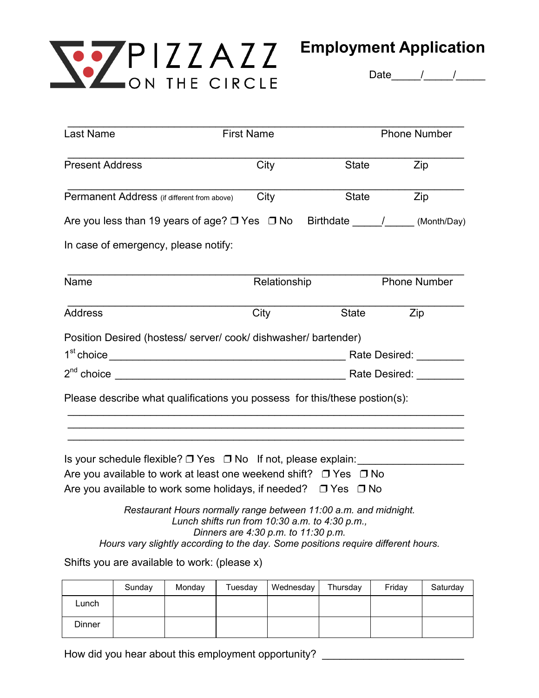

Date <u>/ / /</u>

| Last Name                                                                                                                                                                                                                         | <b>First Name</b>                                                                                                                                             |       | <b>Phone Number</b> |  |
|-----------------------------------------------------------------------------------------------------------------------------------------------------------------------------------------------------------------------------------|---------------------------------------------------------------------------------------------------------------------------------------------------------------|-------|---------------------|--|
| <b>Present Address</b>                                                                                                                                                                                                            | City                                                                                                                                                          | State | Zip                 |  |
| Permanent Address (if different from above)                                                                                                                                                                                       | City                                                                                                                                                          | State | Zip                 |  |
| Are you less than 19 years of age? $\Box$ Yes $\Box$ No Birthdate $\Box$ (Month/Day)                                                                                                                                              |                                                                                                                                                               |       |                     |  |
| In case of emergency, please notify:                                                                                                                                                                                              |                                                                                                                                                               |       |                     |  |
| Name                                                                                                                                                                                                                              | Relationship                                                                                                                                                  |       | <b>Phone Number</b> |  |
| <b>Address</b>                                                                                                                                                                                                                    | City                                                                                                                                                          | State | Zip                 |  |
| Position Desired (hostess/server/cook/dishwasher/bartender)                                                                                                                                                                       |                                                                                                                                                               |       |                     |  |
| Please describe what qualifications you possess for this/these postion(s):                                                                                                                                                        |                                                                                                                                                               |       |                     |  |
| Is your schedule flexible? $\Box$ Yes $\Box$ No If not, please explain:<br>Are you available to work at least one weekend shift? $\Box$ Yes $\Box$ No<br>Are you available to work some holidays, if needed? $\Box$ Yes $\Box$ No |                                                                                                                                                               |       |                     |  |
| Hours vary slightly according to the day. Some positions require different hours.                                                                                                                                                 | Restaurant Hours normally range between 11:00 a.m. and midnight.<br>Lunch shifts run from $10:30$ a.m. to $4:30$ p.m.,<br>Dinners are 4:30 p.m. to 11:30 p.m. |       |                     |  |
| Shifts you are available to work: (please x)                                                                                                                                                                                      |                                                                                                                                                               |       |                     |  |

|        | Sunday | Monday | Tuesday | Wednesday | Thursday | Friday | Saturday |
|--------|--------|--------|---------|-----------|----------|--------|----------|
| Lunch  |        |        |         |           |          |        |          |
| Dinner |        |        |         |           |          |        |          |

How did you hear about this employment opportunity? \_\_\_\_\_\_\_\_\_\_\_\_\_\_\_\_\_\_\_\_\_\_\_\_\_\_\_\_